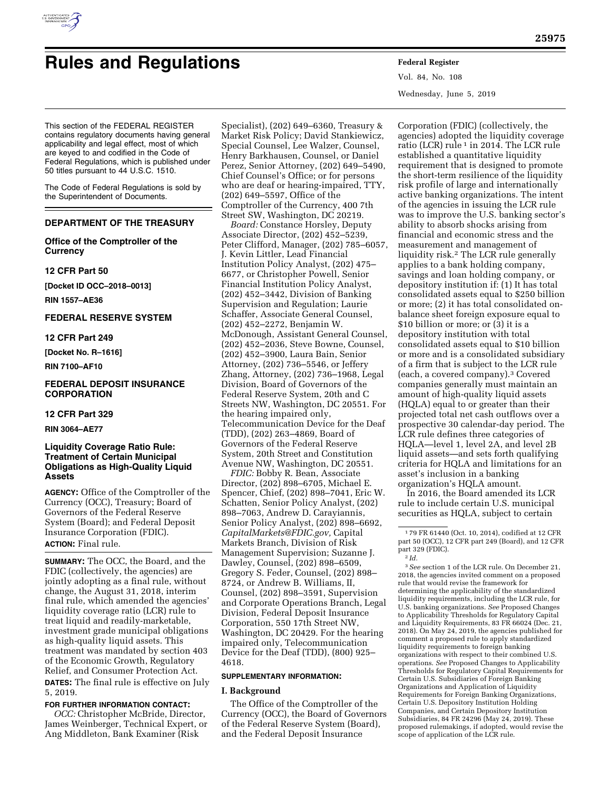

# **Rules and Regulations Federal Register**

Vol. 84, No. 108 Wednesday, June 5, 2019

This section of the FEDERAL REGISTER contains regulatory documents having general applicability and legal effect, most of which are keyed to and codified in the Code of Federal Regulations, which is published under 50 titles pursuant to 44 U.S.C. 1510.

The Code of Federal Regulations is sold by the Superintendent of Documents.

# **DEPARTMENT OF THE TREASURY**

# **Office of the Comptroller of the Currency**

# **12 CFR Part 50**

**[Docket ID OCC–2018–0013]** 

**RIN 1557–AE36** 

# **FEDERAL RESERVE SYSTEM**

# **12 CFR Part 249**

**[Docket No. R–1616]** 

**RIN 7100–AF10** 

# **FEDERAL DEPOSIT INSURANCE CORPORATION**

#### **12 CFR Part 329**

**RIN 3064–AE77** 

# **Liquidity Coverage Ratio Rule: Treatment of Certain Municipal Obligations as High-Quality Liquid Assets**

**AGENCY:** Office of the Comptroller of the Currency (OCC), Treasury; Board of Governors of the Federal Reserve System (Board); and Federal Deposit Insurance Corporation (FDIC). **ACTION:** Final rule.

**SUMMARY:** The OCC, the Board, and the FDIC (collectively, the agencies) are jointly adopting as a final rule, without change, the August 31, 2018, interim final rule, which amended the agencies' liquidity coverage ratio (LCR) rule to treat liquid and readily-marketable, investment grade municipal obligations as high-quality liquid assets. This treatment was mandated by section 403 of the Economic Growth, Regulatory Relief, and Consumer Protection Act.

**DATES:** The final rule is effective on July 5, 2019.

## **FOR FURTHER INFORMATION CONTACT:**

*OCC:* Christopher McBride, Director, James Weinberger, Technical Expert, or Ang Middleton, Bank Examiner (Risk

Specialist), (202) 649–6360, Treasury & Market Risk Policy; David Stankiewicz, Special Counsel, Lee Walzer, Counsel, Henry Barkhausen, Counsel, or Daniel Perez, Senior Attorney, (202) 649–5490, Chief Counsel's Office; or for persons who are deaf or hearing-impaired, TTY, (202) 649–5597, Office of the Comptroller of the Currency, 400 7th Street SW, Washington, DC 20219.

*Board:* Constance Horsley, Deputy Associate Director, (202) 452–5239, Peter Clifford, Manager, (202) 785–6057, J. Kevin Littler, Lead Financial Institution Policy Analyst, (202) 475– 6677, or Christopher Powell, Senior Financial Institution Policy Analyst, (202) 452–3442, Division of Banking Supervision and Regulation; Laurie Schaffer, Associate General Counsel, (202) 452–2272, Benjamin W. McDonough, Assistant General Counsel, (202) 452–2036, Steve Bowne, Counsel, (202) 452–3900, Laura Bain, Senior Attorney, (202) 736–5546, or Jeffery Zhang, Attorney, (202) 736–1968, Legal Division, Board of Governors of the Federal Reserve System, 20th and C Streets NW, Washington, DC 20551. For the hearing impaired only, Telecommunication Device for the Deaf (TDD), (202) 263–4869, Board of Governors of the Federal Reserve System, 20th Street and Constitution Avenue NW, Washington, DC 20551.

*FDIC:* Bobby R. Bean, Associate Director, (202) 898–6705, Michael E. Spencer, Chief, (202) 898–7041, Eric W. Schatten, Senior Policy Analyst, (202) 898–7063, Andrew D. Carayiannis, Senior Policy Analyst, (202) 898–6692, *[CapitalMarkets@FDIC.gov,](mailto:CapitalMarkets@FDIC.gov)* Capital Markets Branch, Division of Risk Management Supervision; Suzanne J. Dawley, Counsel, (202) 898–6509, Gregory S. Feder, Counsel, (202) 898– 8724, or Andrew B. Williams, II, Counsel, (202) 898–3591, Supervision and Corporate Operations Branch, Legal Division, Federal Deposit Insurance Corporation, 550 17th Street NW, Washington, DC 20429. For the hearing impaired only, Telecommunication Device for the Deaf (TDD), (800) 925– 4618.

### **SUPPLEMENTARY INFORMATION:**

#### **I. Background**

The Office of the Comptroller of the Currency (OCC), the Board of Governors of the Federal Reserve System (Board), and the Federal Deposit Insurance

Corporation (FDIC) (collectively, the agencies) adopted the liquidity coverage ratio (LCR) rule 1 in 2014. The LCR rule established a quantitative liquidity requirement that is designed to promote the short-term resilience of the liquidity risk profile of large and internationally active banking organizations. The intent of the agencies in issuing the LCR rule was to improve the U.S. banking sector's ability to absorb shocks arising from financial and economic stress and the measurement and management of liquidity risk.2 The LCR rule generally applies to a bank holding company, savings and loan holding company, or depository institution if: (1) It has total consolidated assets equal to \$250 billion or more; (2) it has total consolidated onbalance sheet foreign exposure equal to \$10 billion or more; or (3) it is a depository institution with total consolidated assets equal to \$10 billion or more and is a consolidated subsidiary of a firm that is subject to the LCR rule (each, a covered company).3 Covered companies generally must maintain an amount of high-quality liquid assets (HQLA) equal to or greater than their projected total net cash outflows over a prospective 30 calendar-day period. The LCR rule defines three categories of HQLA—level 1, level 2A, and level 2B liquid assets—and sets forth qualifying criteria for HQLA and limitations for an asset's inclusion in a banking organization's HQLA amount.

In 2016, the Board amended its LCR rule to include certain U.S. municipal securities as HQLA, subject to certain

3*See* section 1 of the LCR rule. On December 21, 2018, the agencies invited comment on a proposed rule that would revise the framework for determining the applicability of the standardized liquidity requirements, including the LCR rule, for U.S. banking organizations. *See* Proposed Changes to Applicability Thresholds for Regulatory Capital and Liquidity Requirements, 83 FR 66024 (Dec. 21, 2018). On May 24, 2019, the agencies published for comment a proposed rule to apply standardized liquidity requirements to foreign banking organizations with respect to their combined U.S. operations. *See* Proposed Changes to Applicability Thresholds for Regulatory Capital Requirements for Certain U.S. Subsidiaries of Foreign Banking Organizations and Application of Liquidity Requirements for Foreign Banking Organizations, Certain U.S. Depository Institution Holding Companies, and Certain Depository Institution Subsidiaries, 84 FR 24296 (May 24, 2019). These proposed rulemakings, if adopted, would revise the scope of application of the LCR rule.

<sup>1</sup> 79 FR 61440 (Oct. 10, 2014), codified at 12 CFR part 50 (OCC), 12 CFR part 249 (Board), and 12 CFR part 329 (FDIC).

<sup>2</sup> *Id.*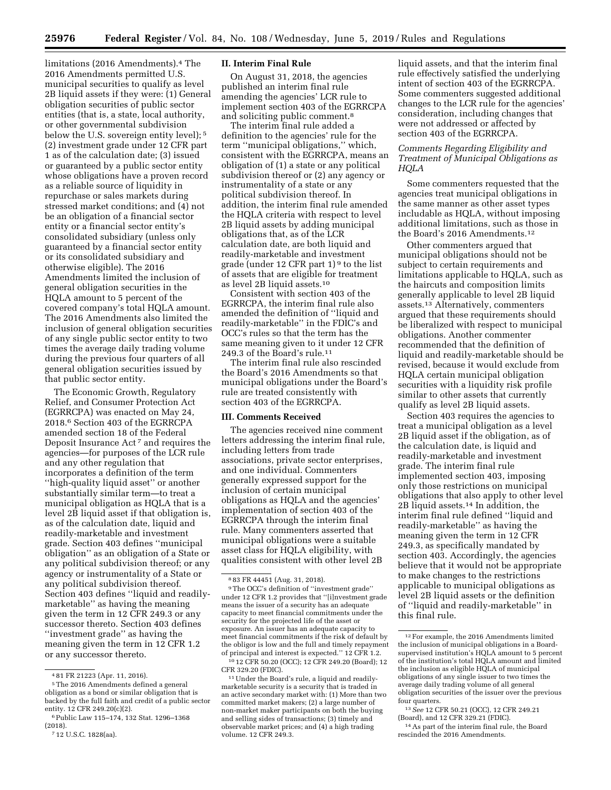limitations (2016 Amendments).<sup>4</sup> The 2016 Amendments permitted U.S. municipal securities to qualify as level 2B liquid assets if they were: (1) General obligation securities of public sector entities (that is, a state, local authority, or other governmental subdivision below the U.S. sovereign entity level); 5 (2) investment grade under 12 CFR part 1 as of the calculation date; (3) issued or guaranteed by a public sector entity whose obligations have a proven record as a reliable source of liquidity in repurchase or sales markets during stressed market conditions; and (4) not be an obligation of a financial sector entity or a financial sector entity's consolidated subsidiary (unless only guaranteed by a financial sector entity or its consolidated subsidiary and otherwise eligible). The 2016 Amendments limited the inclusion of general obligation securities in the HQLA amount to 5 percent of the covered company's total HQLA amount. The 2016 Amendments also limited the inclusion of general obligation securities of any single public sector entity to two times the average daily trading volume during the previous four quarters of all general obligation securities issued by that public sector entity.

The Economic Growth, Regulatory Relief, and Consumer Protection Act (EGRRCPA) was enacted on May 24, 2018.6 Section 403 of the EGRRCPA amended section 18 of the Federal Deposit Insurance Act 7 and requires the agencies—for purposes of the LCR rule and any other regulation that incorporates a definition of the term ''high-quality liquid asset'' or another substantially similar term—to treat a municipal obligation as HQLA that is a level 2B liquid asset if that obligation is, as of the calculation date, liquid and readily-marketable and investment grade. Section 403 defines ''municipal obligation'' as an obligation of a State or any political subdivision thereof; or any agency or instrumentality of a State or any political subdivision thereof. Section 403 defines ''liquid and readilymarketable'' as having the meaning given the term in 12 CFR 249.3 or any successor thereto. Section 403 defines ''investment grade'' as having the meaning given the term in 12 CFR 1.2 or any successor thereto.

#### **II. Interim Final Rule**

On August 31, 2018, the agencies published an interim final rule amending the agencies' LCR rule to implement section 403 of the EGRRCPA and soliciting public comment.8

The interim final rule added a definition to the agencies' rule for the term ''municipal obligations,'' which, consistent with the EGRRCPA, means an obligation of (1) a state or any political subdivision thereof or (2) any agency or instrumentality of a state or any political subdivision thereof. In addition, the interim final rule amended the HQLA criteria with respect to level 2B liquid assets by adding municipal obligations that, as of the LCR calculation date, are both liquid and readily-marketable and investment grade (under 12 CFR part 1) 9 to the list of assets that are eligible for treatment as level 2B liquid assets.10

Consistent with section 403 of the EGRRCPA, the interim final rule also amended the definition of ''liquid and readily-marketable'' in the FDIC's and OCC's rules so that the term has the same meaning given to it under 12 CFR 249.3 of the Board's rule.11

The interim final rule also rescinded the Board's 2016 Amendments so that municipal obligations under the Board's rule are treated consistently with section 403 of the EGRRCPA.

#### **III. Comments Received**

The agencies received nine comment letters addressing the interim final rule, including letters from trade associations, private sector enterprises, and one individual. Commenters generally expressed support for the inclusion of certain municipal obligations as HQLA and the agencies' implementation of section 403 of the EGRRCPA through the interim final rule. Many commenters asserted that municipal obligations were a suitable asset class for HQLA eligibility, with qualities consistent with other level 2B

liquid assets, and that the interim final rule effectively satisfied the underlying intent of section 403 of the EGRRCPA. Some commenters suggested additional changes to the LCR rule for the agencies' consideration, including changes that were not addressed or affected by section 403 of the EGRRCPA.

# *Comments Regarding Eligibility and Treatment of Municipal Obligations as HQLA*

Some commenters requested that the agencies treat municipal obligations in the same manner as other asset types includable as HQLA, without imposing additional limitations, such as those in the Board's 2016 Amendments.12

Other commenters argued that municipal obligations should not be subject to certain requirements and limitations applicable to HQLA, such as the haircuts and composition limits generally applicable to level 2B liquid assets.13 Alternatively, commenters argued that these requirements should be liberalized with respect to municipal obligations. Another commenter recommended that the definition of liquid and readily-marketable should be revised, because it would exclude from HQLA certain municipal obligation securities with a liquidity risk profile similar to other assets that currently qualify as level 2B liquid assets.

Section 403 requires the agencies to treat a municipal obligation as a level 2B liquid asset if the obligation, as of the calculation date, is liquid and readily-marketable and investment grade. The interim final rule implemented section 403, imposing only those restrictions on municipal obligations that also apply to other level 2B liquid assets.14 In addition, the interim final rule defined ''liquid and readily-marketable'' as having the meaning given the term in 12 CFR 249.3, as specifically mandated by section 403. Accordingly, the agencies believe that it would not be appropriate to make changes to the restrictions applicable to municipal obligations as level 2B liquid assets or the definition of ''liquid and readily-marketable'' in this final rule.

13*See* 12 CFR 50.21 (OCC), 12 CFR 249.21 (Board), and 12 CFR 329.21 (FDIC).

<sup>4</sup> 81 FR 21223 (Apr. 11, 2016).

<sup>5</sup>The 2016 Amendments defined a general obligation as a bond or similar obligation that is backed by the full faith and credit of a public sector entity. 12 CFR 249.20(c)(2).

<sup>6</sup>Public Law 115–174, 132 Stat. 1296–1368 (2018).

<sup>7</sup> 12 U.S.C. 1828(aa).

<sup>8</sup> 83 FR 44451 (Aug. 31, 2018).

<sup>9</sup>The OCC's definition of ''investment grade'' under 12 CFR 1.2 provides that ''[i]nvestment grade means the issuer of a security has an adequate capacity to meet financial commitments under the security for the projected life of the asset or exposure. An issuer has an adequate capacity to meet financial commitments if the risk of default by the obligor is low and the full and timely repayment of principal and interest is expected.'' 12 CFR 1.2. 10 12 CFR 50.20 (OCC); 12 CFR 249.20 (Board); 12

CFR 329.20 (FDIC).

<sup>11</sup>Under the Board's rule, a liquid and readilymarketable security is a security that is traded in an active secondary market with: (1) More than two committed market makers; (2) a large number of non-market maker participants on both the buying and selling sides of transactions; (3) timely and observable market prices; and (4) a high trading volume. 12 CFR 249.3.

<sup>12</sup>For example, the 2016 Amendments limited the inclusion of municipal obligations in a Boardsupervised institution's HQLA amount to 5 percent of the institution's total HQLA amount and limited the inclusion as eligible HQLA of municipal obligations of any single issuer to two times the average daily trading volume of all general obligation securities of the issuer over the previous four quarters.

<sup>14</sup>As part of the interim final rule, the Board rescinded the 2016 Amendments.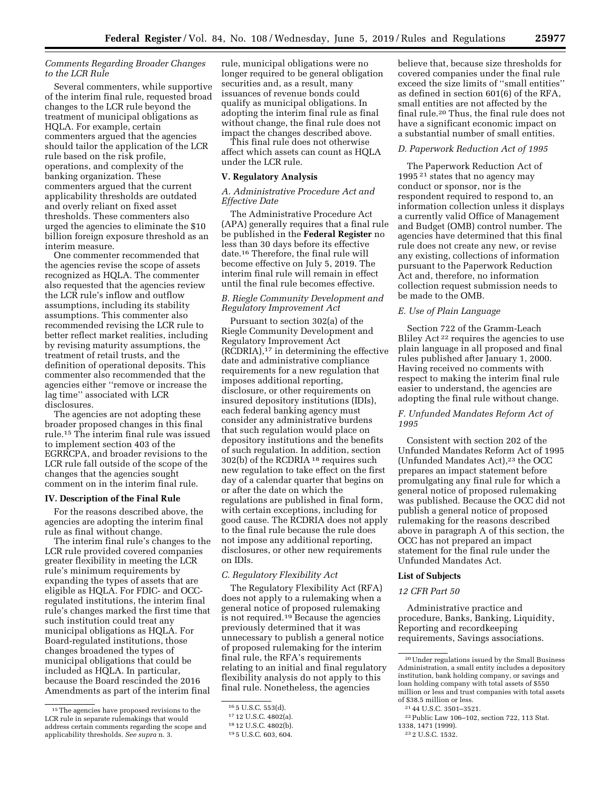# *Comments Regarding Broader Changes to the LCR Rule*

Several commenters, while supportive of the interim final rule, requested broad changes to the LCR rule beyond the treatment of municipal obligations as HQLA. For example, certain commenters argued that the agencies should tailor the application of the LCR rule based on the risk profile, operations, and complexity of the banking organization. These commenters argued that the current applicability thresholds are outdated and overly reliant on fixed asset thresholds. These commenters also urged the agencies to eliminate the \$10 billion foreign exposure threshold as an interim measure.

One commenter recommended that the agencies revise the scope of assets recognized as HQLA. The commenter also requested that the agencies review the LCR rule's inflow and outflow assumptions, including its stability assumptions. This commenter also recommended revising the LCR rule to better reflect market realities, including by revising maturity assumptions, the treatment of retail trusts, and the definition of operational deposits. This commenter also recommended that the agencies either ''remove or increase the lag time'' associated with LCR disclosures.

The agencies are not adopting these broader proposed changes in this final rule.15 The interim final rule was issued to implement section 403 of the EGRRCPA, and broader revisions to the LCR rule fall outside of the scope of the changes that the agencies sought comment on in the interim final rule.

#### **IV. Description of the Final Rule**

For the reasons described above, the agencies are adopting the interim final rule as final without change.

The interim final rule's changes to the LCR rule provided covered companies greater flexibility in meeting the LCR rule's minimum requirements by expanding the types of assets that are eligible as HQLA. For FDIC- and OCCregulated institutions, the interim final rule's changes marked the first time that such institution could treat any municipal obligations as HQLA. For Board-regulated institutions, those changes broadened the types of municipal obligations that could be included as HQLA. In particular, because the Board rescinded the 2016 Amendments as part of the interim final rule, municipal obligations were no longer required to be general obligation securities and, as a result, many issuances of revenue bonds could qualify as municipal obligations. In adopting the interim final rule as final without change, the final rule does not impact the changes described above.

This final rule does not otherwise affect which assets can count as HQLA under the LCR rule.

### **V. Regulatory Analysis**

## *A. Administrative Procedure Act and Effective Date*

The Administrative Procedure Act (APA) generally requires that a final rule be published in the **Federal Register** no less than 30 days before its effective date.16 Therefore, the final rule will become effective on July 5, 2019. The interim final rule will remain in effect until the final rule becomes effective.

# *B. Riegle Community Development and Regulatory Improvement Act*

Pursuant to section 302(a) of the Riegle Community Development and Regulatory Improvement Act (RCDRIA),17 in determining the effective date and administrative compliance requirements for a new regulation that imposes additional reporting, disclosure, or other requirements on insured depository institutions (IDIs), each federal banking agency must consider any administrative burdens that such regulation would place on depository institutions and the benefits of such regulation. In addition, section 302(b) of the RCDRIA 18 requires such new regulation to take effect on the first day of a calendar quarter that begins on or after the date on which the regulations are published in final form, with certain exceptions, including for good cause. The RCDRIA does not apply to the final rule because the rule does not impose any additional reporting, disclosures, or other new requirements on IDIs.

# *C. Regulatory Flexibility Act*

The Regulatory Flexibility Act (RFA) does not apply to a rulemaking when a general notice of proposed rulemaking is not required.19 Because the agencies previously determined that it was unnecessary to publish a general notice of proposed rulemaking for the interim final rule, the RFA's requirements relating to an initial and final regulatory flexibility analysis do not apply to this final rule. Nonetheless, the agencies

believe that, because size thresholds for covered companies under the final rule exceed the size limits of ''small entities'' as defined in section 601(6) of the RFA, small entities are not affected by the final rule.20 Thus, the final rule does not have a significant economic impact on a substantial number of small entities.

#### *D. Paperwork Reduction Act of 1995*

The Paperwork Reduction Act of 1995 21 states that no agency may conduct or sponsor, nor is the respondent required to respond to, an information collection unless it displays a currently valid Office of Management and Budget (OMB) control number. The agencies have determined that this final rule does not create any new, or revise any existing, collections of information pursuant to the Paperwork Reduction Act and, therefore, no information collection request submission needs to be made to the OMB.

# *E. Use of Plain Language*

Section 722 of the Gramm-Leach Bliley Act 22 requires the agencies to use plain language in all proposed and final rules published after January 1, 2000. Having received no comments with respect to making the interim final rule easier to understand, the agencies are adopting the final rule without change.

## *F. Unfunded Mandates Reform Act of 1995*

Consistent with section 202 of the Unfunded Mandates Reform Act of 1995 (Unfunded Mandates Act),<sup>23</sup> the OCC prepares an impact statement before promulgating any final rule for which a general notice of proposed rulemaking was published. Because the OCC did not publish a general notice of proposed rulemaking for the reasons described above in paragraph A of this section, the OCC has not prepared an impact statement for the final rule under the Unfunded Mandates Act.

## **List of Subjects**

### *12 CFR Part 50*

Administrative practice and procedure, Banks, Banking, Liquidity, Reporting and recordkeeping requirements, Savings associations.

<sup>15</sup>The agencies have proposed revisions to the LCR rule in separate rulemakings that would address certain comments regarding the scope and applicability thresholds. *See supra* n. 3.

<sup>16</sup> 5 U.S.C. 553(d).

<sup>17</sup> 12 U.S.C. 4802(a).

<sup>18</sup> 12 U.S.C. 4802(b).

<sup>19</sup> 5 U.S.C. 603, 604.

<sup>20</sup>Under regulations issued by the Small Business Administration, a small entity includes a depository institution, bank holding company, or savings and loan holding company with total assets of \$550 million or less and trust companies with total assets of \$38.5 million or less.

<sup>21</sup> 44 U.S.C. 3501–3521.

<sup>22</sup>Public Law 106–102, section 722, 113 Stat.

<sup>1338, 1471 (1999).</sup> 

<sup>23</sup> 2 U.S.C. 1532.